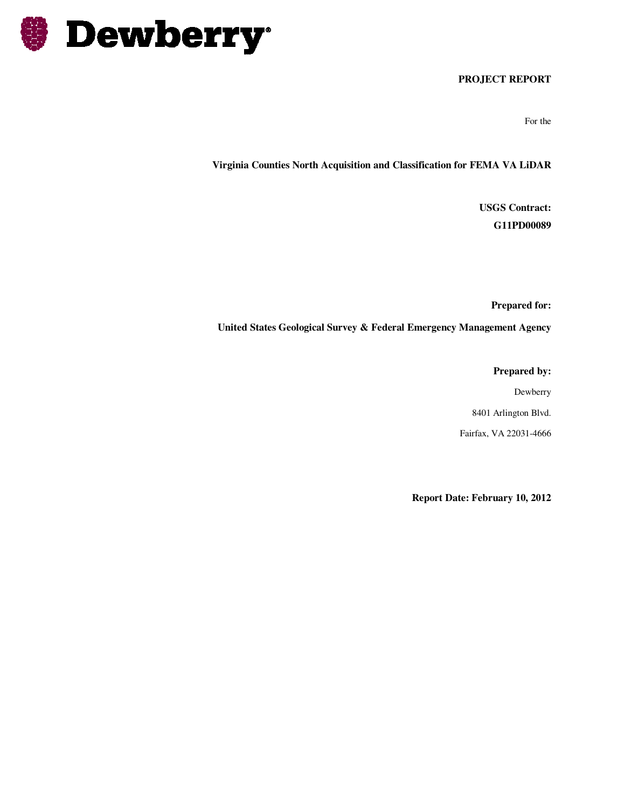

#### **PROJECT REPORT**

For the

**Virginia Counties North Acquisition and Classification for FEMA VA LiDAR** 

**USGS Contract: G11PD00089** 

**Prepared for:** 

**United States Geological Survey & Federal Emergency Management Agency** 

**Prepared by:** 

Dewberry 8401 Arlington Blvd.

Fairfax, VA 22031-4666

**Report Date: February 10, 2012**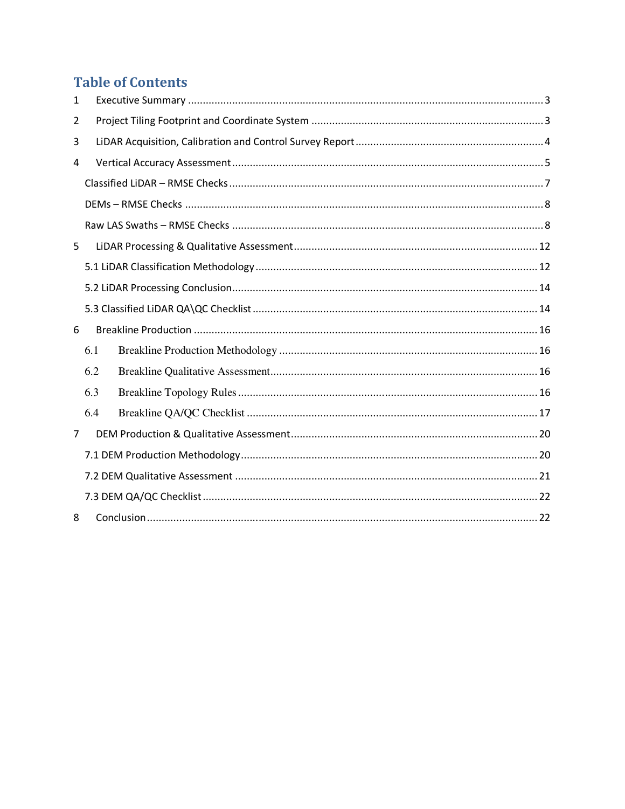# **Table of Contents**

| 1 |     |  |  |  |  |  |  |
|---|-----|--|--|--|--|--|--|
| 2 |     |  |  |  |  |  |  |
| 3 |     |  |  |  |  |  |  |
| 4 |     |  |  |  |  |  |  |
|   |     |  |  |  |  |  |  |
|   |     |  |  |  |  |  |  |
|   |     |  |  |  |  |  |  |
| 5 |     |  |  |  |  |  |  |
|   |     |  |  |  |  |  |  |
|   |     |  |  |  |  |  |  |
|   |     |  |  |  |  |  |  |
| 6 |     |  |  |  |  |  |  |
|   | 6.1 |  |  |  |  |  |  |
|   | 6.2 |  |  |  |  |  |  |
|   | 6.3 |  |  |  |  |  |  |
|   | 6.4 |  |  |  |  |  |  |
| 7 |     |  |  |  |  |  |  |
|   |     |  |  |  |  |  |  |
|   |     |  |  |  |  |  |  |
|   |     |  |  |  |  |  |  |
| 8 |     |  |  |  |  |  |  |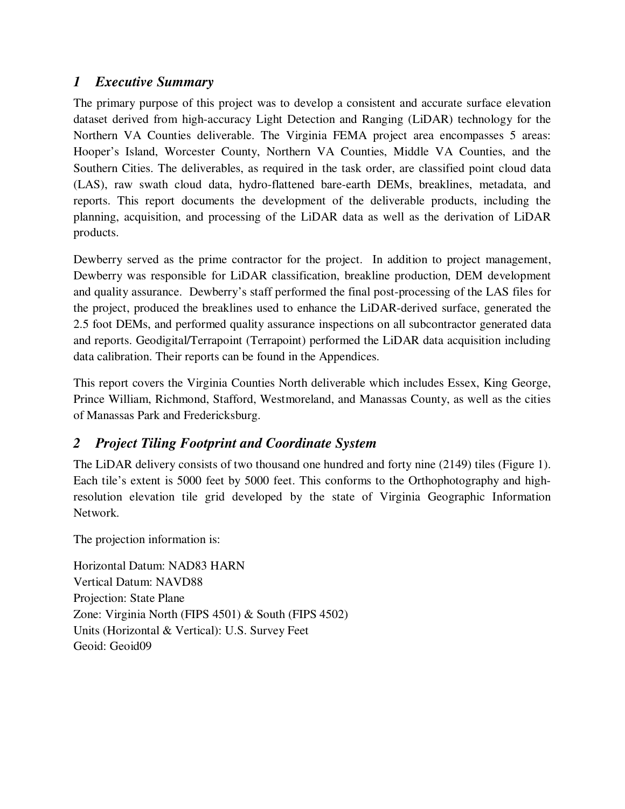# *1 Executive Summary*

The primary purpose of this project was to develop a consistent and accurate surface elevation dataset derived from high-accuracy Light Detection and Ranging (LiDAR) technology for the Northern VA Counties deliverable. The Virginia FEMA project area encompasses 5 areas: Hooper's Island, Worcester County, Northern VA Counties, Middle VA Counties, and the Southern Cities. The deliverables, as required in the task order, are classified point cloud data (LAS), raw swath cloud data, hydro-flattened bare-earth DEMs, breaklines, metadata, and reports. This report documents the development of the deliverable products, including the planning, acquisition, and processing of the LiDAR data as well as the derivation of LiDAR products.

Dewberry served as the prime contractor for the project. In addition to project management, Dewberry was responsible for LiDAR classification, breakline production, DEM development and quality assurance. Dewberry's staff performed the final post-processing of the LAS files for the project, produced the breaklines used to enhance the LiDAR-derived surface, generated the 2.5 foot DEMs, and performed quality assurance inspections on all subcontractor generated data and reports. Geodigital/Terrapoint (Terrapoint) performed the LiDAR data acquisition including data calibration. Their reports can be found in the Appendices.

This report covers the Virginia Counties North deliverable which includes Essex, King George, Prince William, Richmond, Stafford, Westmoreland, and Manassas County, as well as the cities of Manassas Park and Fredericksburg.

# *2 Project Tiling Footprint and Coordinate System*

The LiDAR delivery consists of two thousand one hundred and forty nine (2149) tiles (Figure 1). Each tile's extent is 5000 feet by 5000 feet. This conforms to the Orthophotography and highresolution elevation tile grid developed by the state of Virginia Geographic Information Network.

The projection information is:

Horizontal Datum: NAD83 HARN Vertical Datum: NAVD88 Projection: State Plane Zone: Virginia North (FIPS 4501) & South (FIPS 4502) Units (Horizontal & Vertical): U.S. Survey Feet Geoid: Geoid09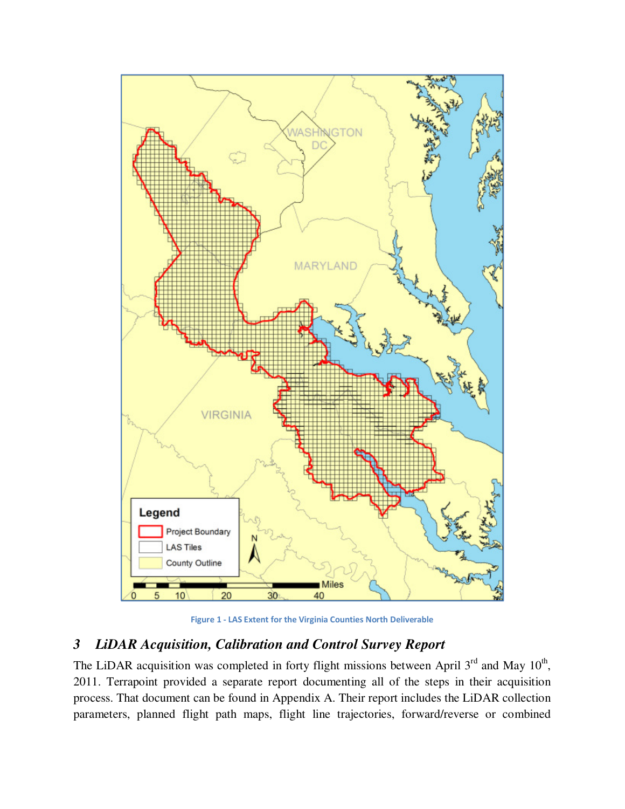

**Figure 1 - LAS Extent for the Virginia Counties North Deliverable** 

# *3 LiDAR Acquisition, Calibration and Control Survey Report*

The LiDAR acquisition was completed in forty flight missions between April  $3<sup>rd</sup>$  and May  $10<sup>th</sup>$ , 2011. Terrapoint provided a separate report documenting all of the steps in their acquisition process. That document can be found in Appendix A. Their report includes the LiDAR collection parameters, planned flight path maps, flight line trajectories, forward/reverse or combined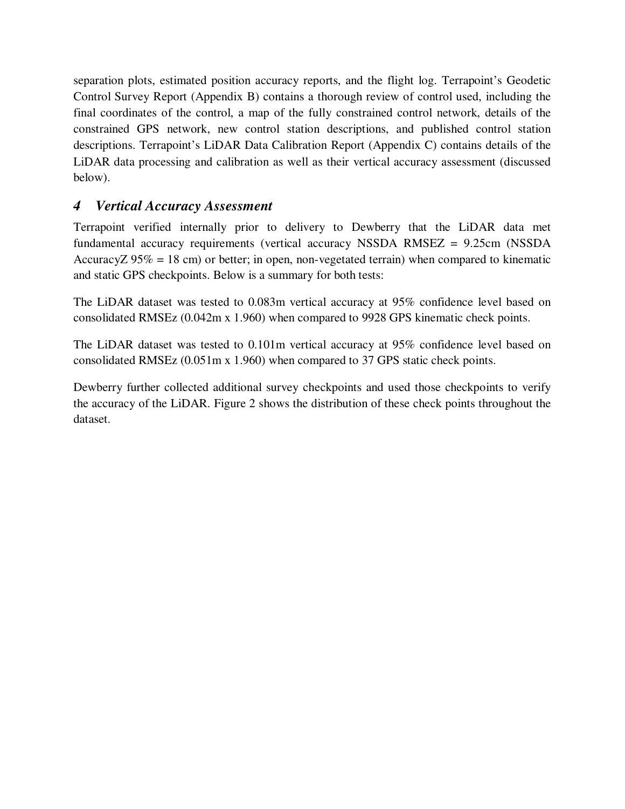separation plots, estimated position accuracy reports, and the flight log. Terrapoint's Geodetic Control Survey Report (Appendix B) contains a thorough review of control used, including the final coordinates of the control, a map of the fully constrained control network, details of the constrained GPS network, new control station descriptions, and published control station descriptions. Terrapoint's LiDAR Data Calibration Report (Appendix C) contains details of the LiDAR data processing and calibration as well as their vertical accuracy assessment (discussed below).

# *4 Vertical Accuracy Assessment*

Terrapoint verified internally prior to delivery to Dewberry that the LiDAR data met fundamental accuracy requirements (vertical accuracy NSSDA RMSEZ = 9.25cm (NSSDA AccuracyZ  $95\% = 18$  cm) or better; in open, non-vegetated terrain) when compared to kinematic and static GPS checkpoints. Below is a summary for both tests:

The LiDAR dataset was tested to 0.083m vertical accuracy at 95% confidence level based on consolidated RMSEz (0.042m x 1.960) when compared to 9928 GPS kinematic check points.

The LiDAR dataset was tested to 0.101m vertical accuracy at 95% confidence level based on consolidated RMSEz (0.051m x 1.960) when compared to 37 GPS static check points.

Dewberry further collected additional survey checkpoints and used those checkpoints to verify the accuracy of the LiDAR. Figure 2 shows the distribution of these check points throughout the dataset.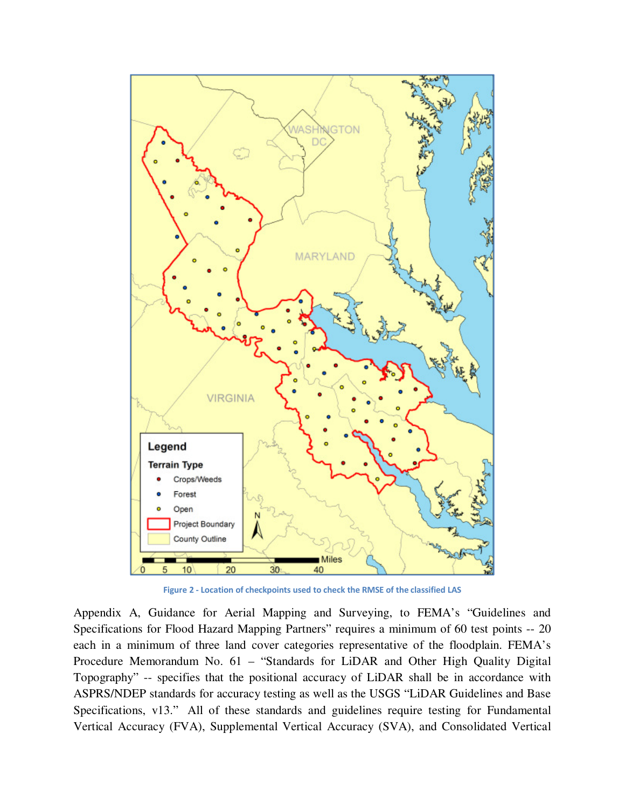

**Figure 2 - Location of checkpoints used to check the RMSE of the classified LAS** 

Appendix A, Guidance for Aerial Mapping and Surveying, to FEMA's "Guidelines and Specifications for Flood Hazard Mapping Partners" requires a minimum of 60 test points -- 20 each in a minimum of three land cover categories representative of the floodplain. FEMA's Procedure Memorandum No. 61 – "Standards for LiDAR and Other High Quality Digital Topography" -- specifies that the positional accuracy of LiDAR shall be in accordance with ASPRS/NDEP standards for accuracy testing as well as the USGS "LiDAR Guidelines and Base Specifications, v13." All of these standards and guidelines require testing for Fundamental Vertical Accuracy (FVA), Supplemental Vertical Accuracy (SVA), and Consolidated Vertical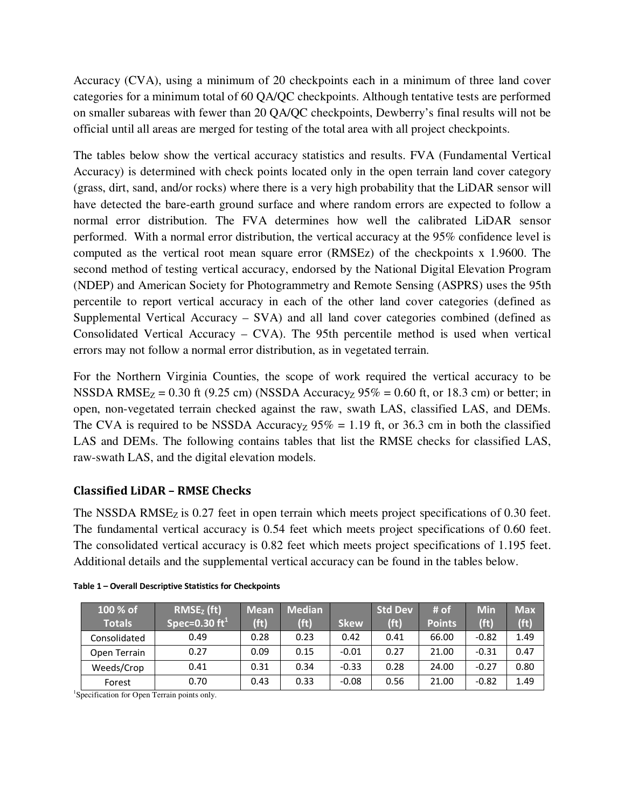Accuracy (CVA), using a minimum of 20 checkpoints each in a minimum of three land cover categories for a minimum total of 60 QA/QC checkpoints. Although tentative tests are performed on smaller subareas with fewer than 20 QA/QC checkpoints, Dewberry's final results will not be official until all areas are merged for testing of the total area with all project checkpoints.

The tables below show the vertical accuracy statistics and results. FVA (Fundamental Vertical Accuracy) is determined with check points located only in the open terrain land cover category (grass, dirt, sand, and/or rocks) where there is a very high probability that the LiDAR sensor will have detected the bare-earth ground surface and where random errors are expected to follow a normal error distribution. The FVA determines how well the calibrated LiDAR sensor performed. With a normal error distribution, the vertical accuracy at the 95% confidence level is computed as the vertical root mean square error (RMSEz) of the checkpoints x 1.9600. The second method of testing vertical accuracy, endorsed by the National Digital Elevation Program (NDEP) and American Society for Photogrammetry and Remote Sensing (ASPRS) uses the 95th percentile to report vertical accuracy in each of the other land cover categories (defined as Supplemental Vertical Accuracy – SVA) and all land cover categories combined (defined as Consolidated Vertical Accuracy – CVA). The 95th percentile method is used when vertical errors may not follow a normal error distribution, as in vegetated terrain.

For the Northern Virginia Counties, the scope of work required the vertical accuracy to be NSSDA RMSE $_Z$  = 0.30 ft (9.25 cm) (NSSDA Accuracy<sub>Z</sub> 95% = 0.60 ft, or 18.3 cm) or better; in open, non-vegetated terrain checked against the raw, swath LAS, classified LAS, and DEMs. The CVA is required to be NSSDA Accuracyz  $95\% = 1.19$  ft, or 36.3 cm in both the classified LAS and DEMs. The following contains tables that list the RMSE checks for classified LAS, raw-swath LAS, and the digital elevation models.

# **Classified LiDAR – RMSE Checks**

The NSSDA RMS $E<sub>Z</sub>$  is 0.27 feet in open terrain which meets project specifications of 0.30 feet. The fundamental vertical accuracy is 0.54 feet which meets project specifications of 0.60 feet. The consolidated vertical accuracy is 0.82 feet which meets project specifications of 1.195 feet. Additional details and the supplemental vertical accuracy can be found in the tables below.

| 100 % of<br><b>Totals</b> | $RMSEz$ (ft)<br>Spec=0.30 $ft1$ | <b>Mean</b><br>(f <sub>t</sub> ) | <b>Median</b><br>(f <sup>t</sup> ) | <b>Skew</b> | <b>Std Dev</b><br>(f <sub>t</sub> ) | $#$ of<br><b>Points</b> | <b>Min</b><br>(f <sub>t</sub> ) | <b>Max</b><br>(f <sup>t</sup> ) |
|---------------------------|---------------------------------|----------------------------------|------------------------------------|-------------|-------------------------------------|-------------------------|---------------------------------|---------------------------------|
| Consolidated              | 0.49                            | 0.28                             | 0.23                               | 0.42        | 0.41                                | 66.00                   | $-0.82$                         | 1.49                            |
| Open Terrain              | 0.27                            | 0.09                             | 0.15                               | $-0.01$     | 0.27                                | 21.00                   | $-0.31$                         | 0.47                            |
| Weeds/Crop                | 0.41                            | 0.31                             | 0.34                               | $-0.33$     | 0.28                                | 24.00                   | $-0.27$                         | 0.80                            |
| Forest                    | 0.70                            | 0.43                             | 0.33                               | $-0.08$     | 0.56                                | 21.00                   | $-0.82$                         | 1.49                            |

**Table 1 – Overall Descriptive Statistics for Checkpoints** 

<sup>1</sup>Specification for Open Terrain points only.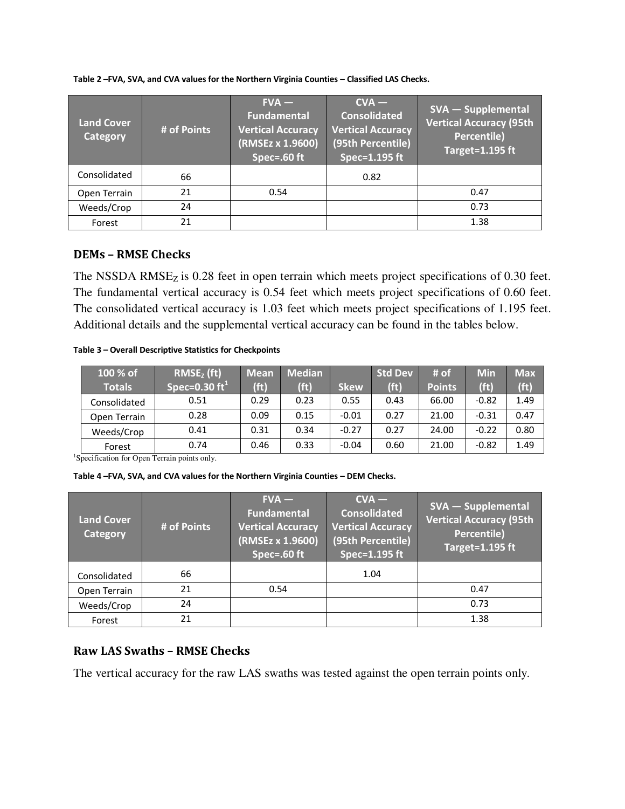**Table 2 –FVA, SVA, and CVA values for the Northern Virginia Counties – Classified LAS Checks.** 

| <b>Land Cover</b><br>Category | # of Points | $FVA -$<br>Fundamental<br><b>Vertical Accuracy</b><br>(RMSEz x 1.9600)<br>Spec=. $60$ ft | $CVA -$<br><b>Consolidated</b><br><b>Vertical Accuracy</b><br>(95th Percentile)<br>Spec=1.195 ft | SVA - Supplemental<br><b>Vertical Accuracy (95th</b><br>Percentile)<br>$Target=1.195$ ft |
|-------------------------------|-------------|------------------------------------------------------------------------------------------|--------------------------------------------------------------------------------------------------|------------------------------------------------------------------------------------------|
| Consolidated                  | 66          |                                                                                          | 0.82                                                                                             |                                                                                          |
| Open Terrain                  | 21          | 0.54                                                                                     |                                                                                                  | 0.47                                                                                     |
| Weeds/Crop                    | 24          |                                                                                          |                                                                                                  | 0.73                                                                                     |
| Forest                        | 21          |                                                                                          |                                                                                                  | 1.38                                                                                     |

## **DEMs – RMSE Checks**

The NSSDA  $RMSE<sub>Z</sub>$  is 0.28 feet in open terrain which meets project specifications of 0.30 feet. The fundamental vertical accuracy is 0.54 feet which meets project specifications of 0.60 feet. The consolidated vertical accuracy is 1.03 feet which meets project specifications of 1.195 feet. Additional details and the supplemental vertical accuracy can be found in the tables below.

**Table 3 – Overall Descriptive Statistics for Checkpoints** 

| 100 % of<br><b>Totals</b> | $RMSEz$ (ft)<br>$\overline{\rm  Spec=}0.30~{\rm ft}^{1+}$ | Mean<br>(f <sub>t</sub> ) | <b>Median</b><br>(f <sup>t</sup> ) | <b>Skew</b> | <b>Std Dev</b><br>(f <sup>t</sup> ) | # $of$<br><b>Points</b> | <b>Min</b><br>(f <sub>t</sub> ) | <b>Max</b><br>(f <sup>t</sup> ) |
|---------------------------|-----------------------------------------------------------|---------------------------|------------------------------------|-------------|-------------------------------------|-------------------------|---------------------------------|---------------------------------|
| Consolidated              | 0.51                                                      | 0.29                      | 0.23                               | 0.55        | 0.43                                | 66.00                   | $-0.82$                         | 1.49                            |
| Open Terrain              | 0.28                                                      | 0.09                      | 0.15                               | $-0.01$     | 0.27                                | 21.00                   | $-0.31$                         | 0.47                            |
| Weeds/Crop                | 0.41                                                      | 0.31                      | 0.34                               | $-0.27$     | 0.27                                | 24.00                   | $-0.22$                         | 0.80                            |
| Forest                    | 0.74                                                      | 0.46                      | 0.33                               | $-0.04$     | 0.60                                | 21.00                   | $-0.82$                         | 1.49                            |

<sup>1</sup>Specification for Open Terrain points only.

**Table 4 –FVA, SVA, and CVA values for the Northern Virginia Counties – DEM Checks.** 

| <b>Land Cover</b><br>Category | # of Points | $FVA -$<br><b>Fundamental</b><br><b>Vertical Accuracy</b><br>(RMSEz x 1.9600)<br>Spec=. $60$ ft | $CVA -$<br><b>Consolidated</b><br><b>Vertical Accuracy</b><br>(95th Percentile)<br>Spec=1.195 ft | <b>SVA - Supplemental</b><br><b>Vertical Accuracy (95th</b><br><b>Percentile)</b><br>Target=1.195 ft |
|-------------------------------|-------------|-------------------------------------------------------------------------------------------------|--------------------------------------------------------------------------------------------------|------------------------------------------------------------------------------------------------------|
| Consolidated                  | 66          |                                                                                                 | 1.04                                                                                             |                                                                                                      |
| Open Terrain                  | 21          | 0.54                                                                                            |                                                                                                  | 0.47                                                                                                 |
| Weeds/Crop                    | 24          |                                                                                                 |                                                                                                  | 0.73                                                                                                 |
| Forest                        | 21          |                                                                                                 |                                                                                                  | 1.38                                                                                                 |

# **Raw LAS Swaths – RMSE Checks**

The vertical accuracy for the raw LAS swaths was tested against the open terrain points only.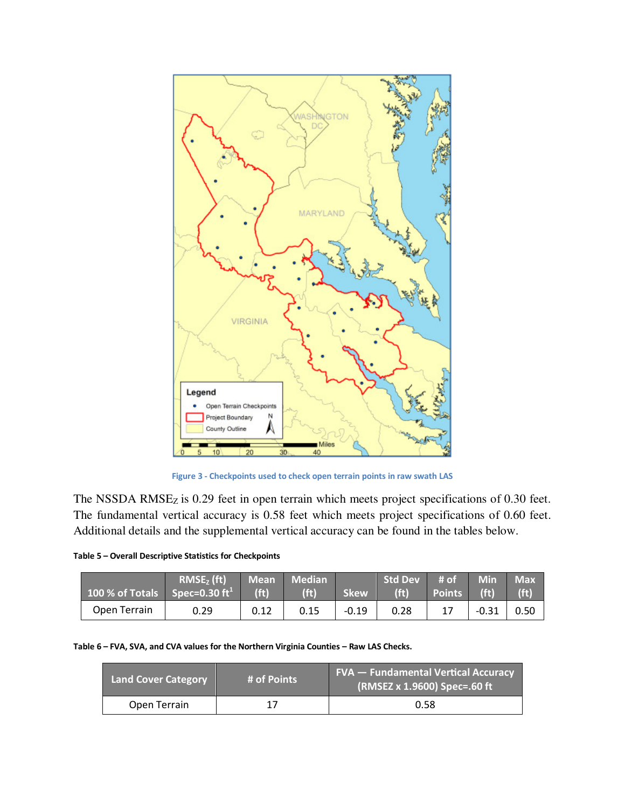

**Figure 3 - Checkpoints used to check open terrain points in raw swath LAS**

The NSSDA RMSE<sub>Z</sub> is 0.29 feet in open terrain which meets project specifications of 0.30 feet. The fundamental vertical accuracy is 0.58 feet which meets project specifications of 0.60 feet. Additional details and the supplemental vertical accuracy can be found in the tables below.

|  |  | Table 5 - Overall Descriptive Statistics for Checkpoints |
|--|--|----------------------------------------------------------|
|  |  |                                                          |

| $\frac{100}{6}$ of Totals Spec=0.30 ft <sup>1</sup> | $RMSEz$ (ft) | ' Mean<br>(f <sub>t</sub> ) | <b>Median</b><br>(f <sub>t</sub> ) | <b>Skew</b> | <b>Std Dev</b><br>(f <sub>t</sub> ) | # of<br><b>Points</b> | <b>Min</b><br>(f <sub>t</sub> ) | <b>Max</b><br>(f <sub>t</sub> ) |
|-----------------------------------------------------|--------------|-----------------------------|------------------------------------|-------------|-------------------------------------|-----------------------|---------------------------------|---------------------------------|
| Open Terrain                                        | 0.29         | 0.12                        | 0.15                               | -0.19       | 0.28                                | 17                    | $-0.31$                         | 0.50                            |

**Table 6 – FVA, SVA, and CVA values for the Northern Virginia Counties – Raw LAS Checks.** 

| <b>Land Cover Category</b> | # of Points | <b>FVA - Fundamental Vertical Accuracy</b><br>(RMSEZ x 1.9600) Spec=.60 ft |
|----------------------------|-------------|----------------------------------------------------------------------------|
| Open Terrain               |             | 0.58                                                                       |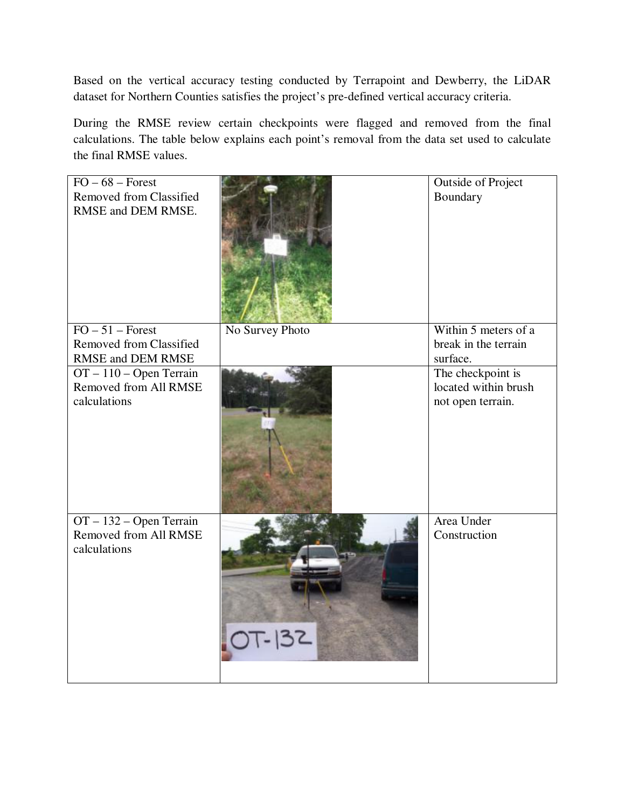Based on the vertical accuracy testing conducted by Terrapoint and Dewberry, the LiDAR dataset for Northern Counties satisfies the project's pre-defined vertical accuracy criteria.

During the RMSE review certain checkpoints were flagged and removed from the final calculations. The table below explains each point's removal from the data set used to calculate the final RMSE values.

| $FO - 68 - Forest$<br><b>Removed from Classified</b><br>RMSE and DEM RMSE.              |                 | <b>Outside of Project</b><br>Boundary                                      |
|-----------------------------------------------------------------------------------------|-----------------|----------------------------------------------------------------------------|
| $FO - 51 - Forest$<br><b>Removed from Classified</b>                                    | No Survey Photo | Within 5 meters of a<br>break in the terrain                               |
| RMSE and DEM RMSE<br>$OT - 110 - Open Terrain$<br>Removed from All RMSE<br>calculations |                 | surface.<br>The checkpoint is<br>located within brush<br>not open terrain. |
| OT - 132 - Open Terrain<br>Removed from All RMSE<br>calculations                        | OT-132          | Area Under<br>Construction                                                 |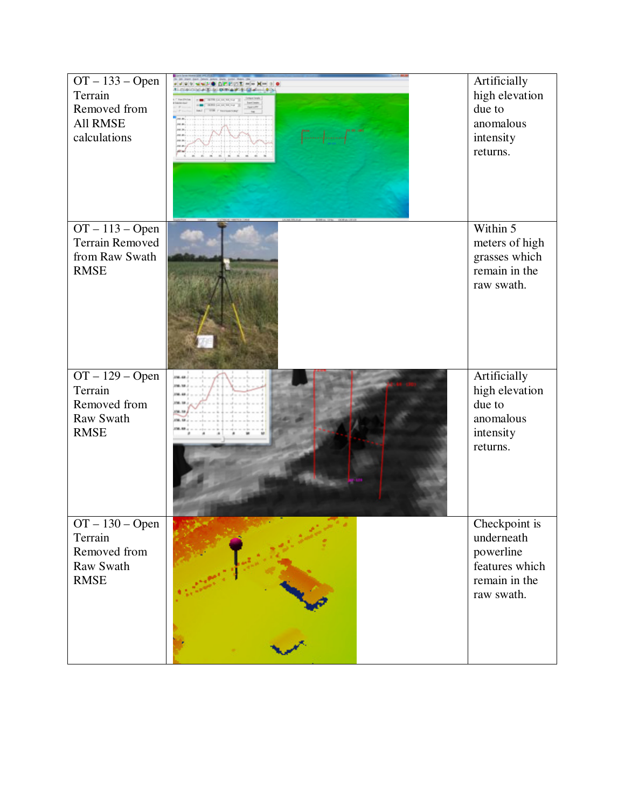| $OT-133 - Open$<br>Terrain<br>Removed from<br><b>All RMSE</b><br>calculations       | 20 30 M cc | Artificially<br>high elevation<br>due to<br>anomalous<br>intensity<br>returns.            |
|-------------------------------------------------------------------------------------|------------|-------------------------------------------------------------------------------------------|
| $OT-113 - Open$<br><b>Terrain Removed</b><br>from Raw Swath<br><b>RMSE</b>          |            | Within 5<br>meters of high<br>grasses which<br>remain in the<br>raw swath.                |
| $OT - 129 - Open$<br>Terrain<br>Removed from<br>Raw Swath<br><b>RMSE</b>            |            | Artificially<br>high elevation<br>due to<br>anomalous<br>intensity<br>returns.            |
| $\overline{OT} - 130 - Open$<br>Terrain<br>Removed from<br>Raw Swath<br><b>RMSE</b> |            | Checkpoint is<br>underneath<br>powerline<br>features which<br>remain in the<br>raw swath. |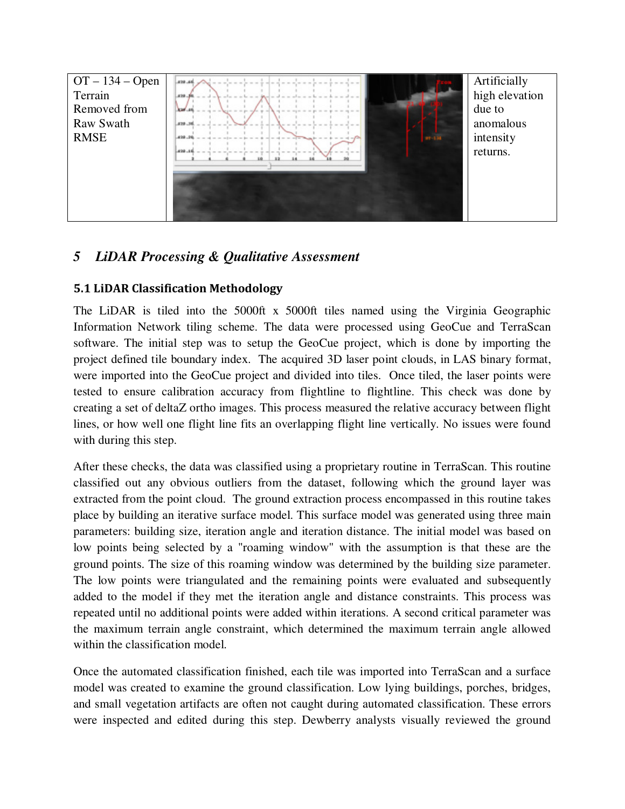

# *5 LiDAR Processing & Qualitative Assessment*

## **5.1 LiDAR Classification Methodology**

The LiDAR is tiled into the 5000ft x 5000ft tiles named using the Virginia Geographic Information Network tiling scheme. The data were processed using GeoCue and TerraScan software. The initial step was to setup the GeoCue project, which is done by importing the project defined tile boundary index. The acquired 3D laser point clouds, in LAS binary format, were imported into the GeoCue project and divided into tiles. Once tiled, the laser points were tested to ensure calibration accuracy from flightline to flightline. This check was done by creating a set of deltaZ ortho images. This process measured the relative accuracy between flight lines, or how well one flight line fits an overlapping flight line vertically. No issues were found with during this step.

After these checks, the data was classified using a proprietary routine in TerraScan. This routine classified out any obvious outliers from the dataset, following which the ground layer was extracted from the point cloud. The ground extraction process encompassed in this routine takes place by building an iterative surface model. This surface model was generated using three main parameters: building size, iteration angle and iteration distance. The initial model was based on low points being selected by a "roaming window" with the assumption is that these are the ground points. The size of this roaming window was determined by the building size parameter. The low points were triangulated and the remaining points were evaluated and subsequently added to the model if they met the iteration angle and distance constraints. This process was repeated until no additional points were added within iterations. A second critical parameter was the maximum terrain angle constraint, which determined the maximum terrain angle allowed within the classification model.

Once the automated classification finished, each tile was imported into TerraScan and a surface model was created to examine the ground classification. Low lying buildings, porches, bridges, and small vegetation artifacts are often not caught during automated classification. These errors were inspected and edited during this step. Dewberry analysts visually reviewed the ground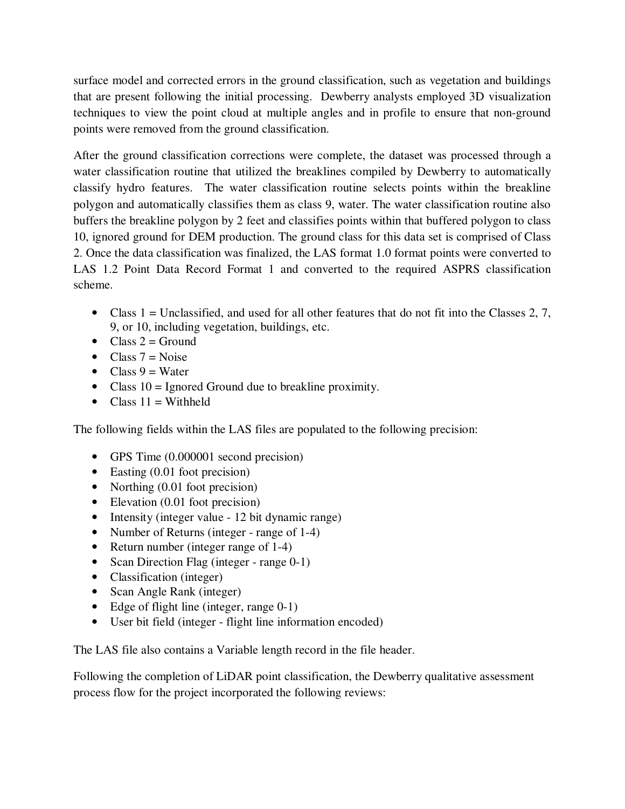surface model and corrected errors in the ground classification, such as vegetation and buildings that are present following the initial processing. Dewberry analysts employed 3D visualization techniques to view the point cloud at multiple angles and in profile to ensure that non-ground points were removed from the ground classification.

After the ground classification corrections were complete, the dataset was processed through a water classification routine that utilized the breaklines compiled by Dewberry to automatically classify hydro features. The water classification routine selects points within the breakline polygon and automatically classifies them as class 9, water. The water classification routine also buffers the breakline polygon by 2 feet and classifies points within that buffered polygon to class 10, ignored ground for DEM production. The ground class for this data set is comprised of Class 2. Once the data classification was finalized, the LAS format 1.0 format points were converted to LAS 1.2 Point Data Record Format 1 and converted to the required ASPRS classification scheme.

- Class  $1 =$  Unclassified, and used for all other features that do not fit into the Classes 2, 7, 9, or 10, including vegetation, buildings, etc.
- Class  $2 =$  Ground
- Class  $7 = \text{Noise}$
- Class  $9 = Water$
- Class  $10 =$  Ignored Ground due to breakline proximity.
- Class  $11 = \text{Without}$

The following fields within the LAS files are populated to the following precision:

- GPS Time  $(0.000001$  second precision)
- Easting (0.01 foot precision)
- Northing (0.01 foot precision)
- Elevation (0.01 foot precision)
- Intensity (integer value 12 bit dynamic range)
- Number of Returns (integer range of 1-4)
- Return number (integer range of 1-4)
- Scan Direction Flag (integer range 0-1)
- Classification (integer)
- Scan Angle Rank (integer)
- Edge of flight line (integer, range 0-1)
- User bit field (integer flight line information encoded)

The LAS file also contains a Variable length record in the file header.

Following the completion of LiDAR point classification, the Dewberry qualitative assessment process flow for the project incorporated the following reviews: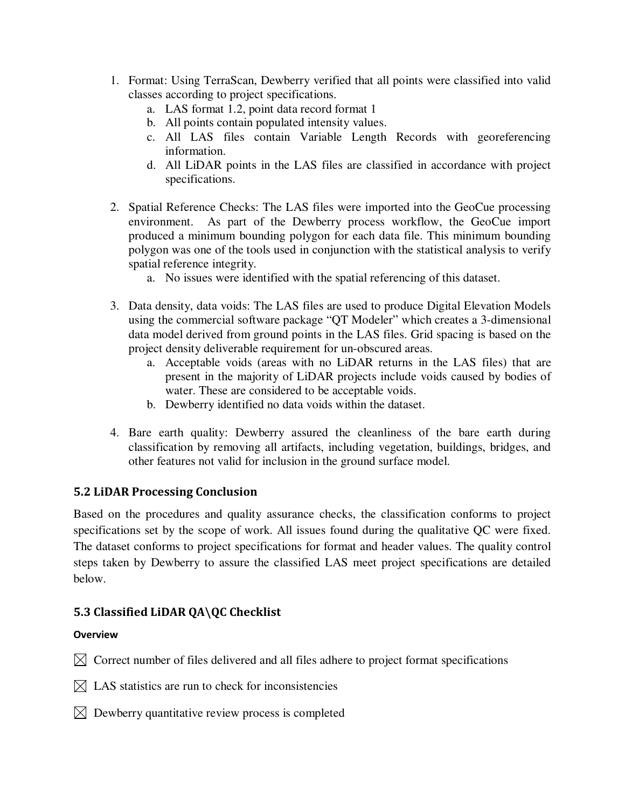- 1. Format: Using TerraScan, Dewberry verified that all points were classified into valid classes according to project specifications.
	- a. LAS format 1.2, point data record format 1
	- b. All points contain populated intensity values.
	- c. All LAS files contain Variable Length Records with georeferencing information.
	- d. All LiDAR points in the LAS files are classified in accordance with project specifications.
- 2. Spatial Reference Checks: The LAS files were imported into the GeoCue processing environment. As part of the Dewberry process workflow, the GeoCue import produced a minimum bounding polygon for each data file. This minimum bounding polygon was one of the tools used in conjunction with the statistical analysis to verify spatial reference integrity.
	- a. No issues were identified with the spatial referencing of this dataset.
- 3. Data density, data voids: The LAS files are used to produce Digital Elevation Models using the commercial software package "QT Modeler" which creates a 3-dimensional data model derived from ground points in the LAS files. Grid spacing is based on the project density deliverable requirement for un-obscured areas.
	- a. Acceptable voids (areas with no LiDAR returns in the LAS files) that are present in the majority of LiDAR projects include voids caused by bodies of water. These are considered to be acceptable voids.
	- b. Dewberry identified no data voids within the dataset.
- 4. Bare earth quality: Dewberry assured the cleanliness of the bare earth during classification by removing all artifacts, including vegetation, buildings, bridges, and other features not valid for inclusion in the ground surface model.

# **5.2 LiDAR Processing Conclusion**

Based on the procedures and quality assurance checks, the classification conforms to project specifications set by the scope of work. All issues found during the qualitative QC were fixed. The dataset conforms to project specifications for format and header values. The quality control steps taken by Dewberry to assure the classified LAS meet project specifications are detailed below.

# **5.3 Classified LiDAR QA\QC Checklist**

#### **Overview**

 $\boxtimes$  Correct number of files delivered and all files adhere to project format specifications

- $\boxtimes$  LAS statistics are run to check for inconsistencies
- $\boxtimes$  Dewberry quantitative review process is completed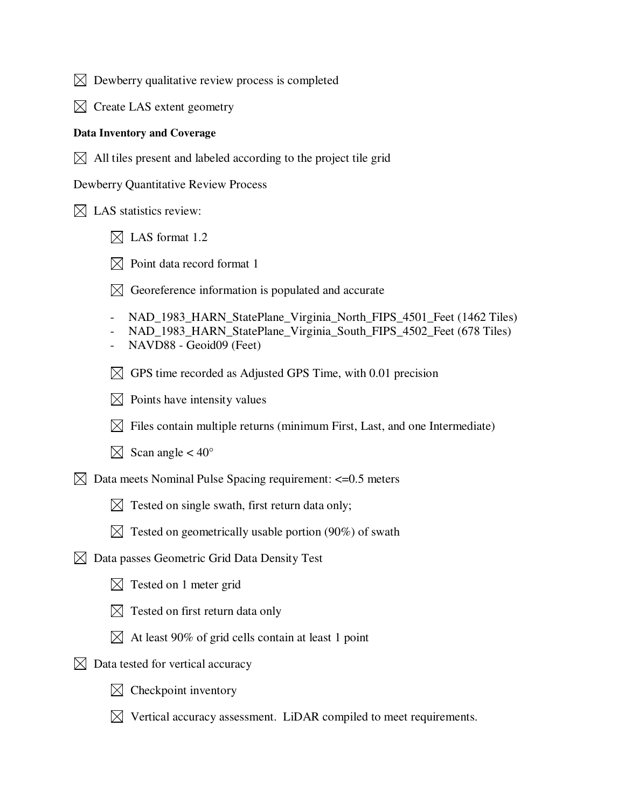$\boxtimes$  Dewberry qualitative review process is completed

 $\boxtimes$  Create LAS extent geometry

#### **Data Inventory and Coverage**

 $\boxtimes$  All tiles present and labeled according to the project tile grid

Dewberry Quantitative Review Process

 $\boxtimes$  LAS statistics review:

- $\boxtimes$  LAS format 1.2
- $\boxtimes$  Point data record format 1
- $\boxtimes$  Georeference information is populated and accurate
- NAD\_1983\_HARN\_StatePlane\_Virginia\_North\_FIPS\_4501\_Feet (1462 Tiles)
- NAD\_1983\_HARN\_StatePlane\_Virginia\_South\_FIPS\_4502\_Feet (678 Tiles)
- NAVD88 Geoid09 (Feet)
- $\boxtimes$  GPS time recorded as Adjusted GPS Time, with 0.01 precision
- $\boxtimes$  Points have intensity values
- $\boxtimes$  Files contain multiple returns (minimum First, Last, and one Intermediate)
- $\boxtimes$  Scan angle < 40°
- $\boxtimes$  Data meets Nominal Pulse Spacing requirement: <= 0.5 meters
	- $\boxtimes$  Tested on single swath, first return data only;
	- $\boxtimes$  Tested on geometrically usable portion (90%) of swath
- $\boxtimes$  Data passes Geometric Grid Data Density Test
	- $\boxtimes$  Tested on 1 meter grid
	- $\boxtimes$  Tested on first return data only
	- $\boxtimes$  At least 90% of grid cells contain at least 1 point
- $\boxtimes$  Data tested for vertical accuracy
	- $\boxtimes$  Checkpoint inventory
	- $\boxtimes$  Vertical accuracy assessment. LiDAR compiled to meet requirements.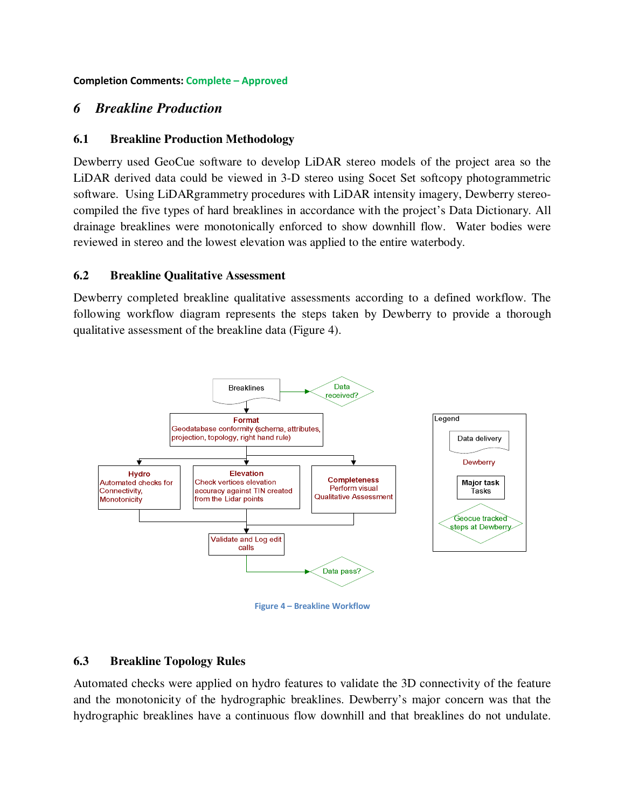**Completion Comments: Complete – Approved** 

## *6 Breakline Production*

#### **6.1 Breakline Production Methodology**

Dewberry used GeoCue software to develop LiDAR stereo models of the project area so the LiDAR derived data could be viewed in 3-D stereo using Socet Set softcopy photogrammetric software. Using LiDARgrammetry procedures with LiDAR intensity imagery, Dewberry stereocompiled the five types of hard breaklines in accordance with the project's Data Dictionary. All drainage breaklines were monotonically enforced to show downhill flow. Water bodies were reviewed in stereo and the lowest elevation was applied to the entire waterbody.

#### **6.2 Breakline Qualitative Assessment**

Dewberry completed breakline qualitative assessments according to a defined workflow. The following workflow diagram represents the steps taken by Dewberry to provide a thorough qualitative assessment of the breakline data (Figure 4).



**Figure 4 – Breakline Workflow** 

## **6.3 Breakline Topology Rules**

Automated checks were applied on hydro features to validate the 3D connectivity of the feature and the monotonicity of the hydrographic breaklines. Dewberry's major concern was that the hydrographic breaklines have a continuous flow downhill and that breaklines do not undulate.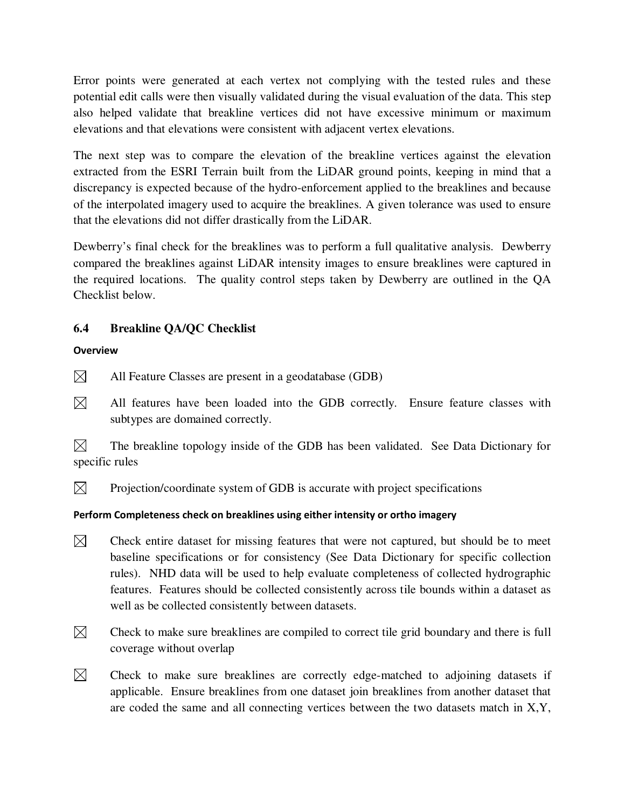Error points were generated at each vertex not complying with the tested rules and these potential edit calls were then visually validated during the visual evaluation of the data. This step also helped validate that breakline vertices did not have excessive minimum or maximum elevations and that elevations were consistent with adjacent vertex elevations.

The next step was to compare the elevation of the breakline vertices against the elevation extracted from the ESRI Terrain built from the LiDAR ground points, keeping in mind that a discrepancy is expected because of the hydro-enforcement applied to the breaklines and because of the interpolated imagery used to acquire the breaklines. A given tolerance was used to ensure that the elevations did not differ drastically from the LiDAR.

Dewberry's final check for the breaklines was to perform a full qualitative analysis. Dewberry compared the breaklines against LiDAR intensity images to ensure breaklines were captured in the required locations. The quality control steps taken by Dewberry are outlined in the QA Checklist below.

# **6.4 Breakline QA/QC Checklist**

## **Overview**

- $\boxtimes$ All Feature Classes are present in a geodatabase (GDB)
- $\boxtimes$  All features have been loaded into the GDB correctly. Ensure feature classes with subtypes are domained correctly.

 $\boxtimes$  The breakline topology inside of the GDB has been validated. See Data Dictionary for specific rules

 $\boxtimes$  Projection/coordinate system of GDB is accurate with project specifications

# **Perform Completeness check on breaklines using either intensity or ortho imagery**

- $\boxtimes$ Check entire dataset for missing features that were not captured, but should be to meet baseline specifications or for consistency (See Data Dictionary for specific collection rules). NHD data will be used to help evaluate completeness of collected hydrographic features. Features should be collected consistently across tile bounds within a dataset as well as be collected consistently between datasets.
- $\boxtimes$  Check to make sure breaklines are compiled to correct tile grid boundary and there is full coverage without overlap
- $\boxtimes$  Check to make sure breaklines are correctly edge-matched to adjoining datasets if applicable. Ensure breaklines from one dataset join breaklines from another dataset that are coded the same and all connecting vertices between the two datasets match in X,Y,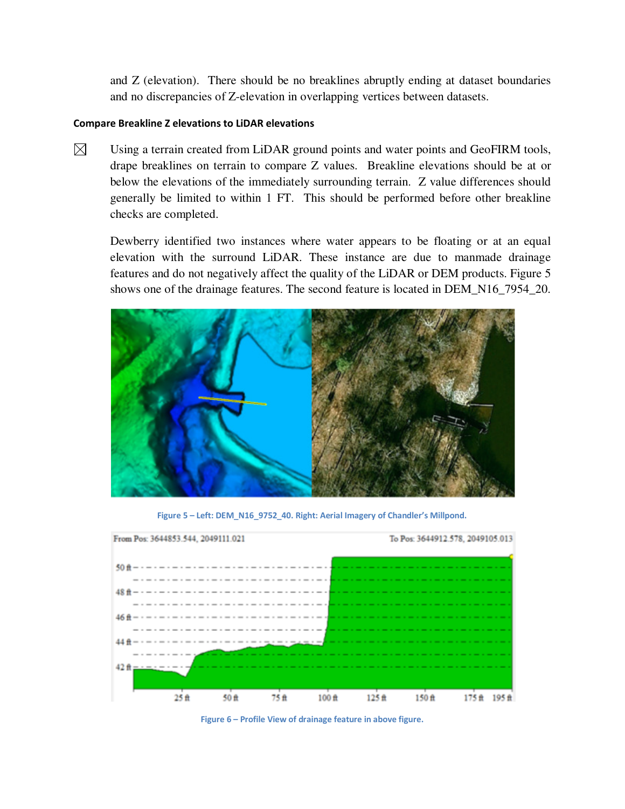and Z (elevation). There should be no breaklines abruptly ending at dataset boundaries and no discrepancies of Z-elevation in overlapping vertices between datasets.

#### **Compare Breakline Z elevations to LiDAR elevations**

 $\boxtimes$ Using a terrain created from LiDAR ground points and water points and GeoFIRM tools, drape breaklines on terrain to compare Z values. Breakline elevations should be at or below the elevations of the immediately surrounding terrain. Z value differences should generally be limited to within 1 FT. This should be performed before other breakline checks are completed.

Dewberry identified two instances where water appears to be floating or at an equal elevation with the surround LiDAR. These instance are due to manmade drainage features and do not negatively affect the quality of the LiDAR or DEM products. Figure 5 shows one of the drainage features. The second feature is located in DEM\_N16\_7954\_20.



**Figure 5 – Left: DEM\_N16\_9752\_40. Right: Aerial Imagery of Chandler's Millpond.** 



**Figure 6 – Profile View of drainage feature in above figure.**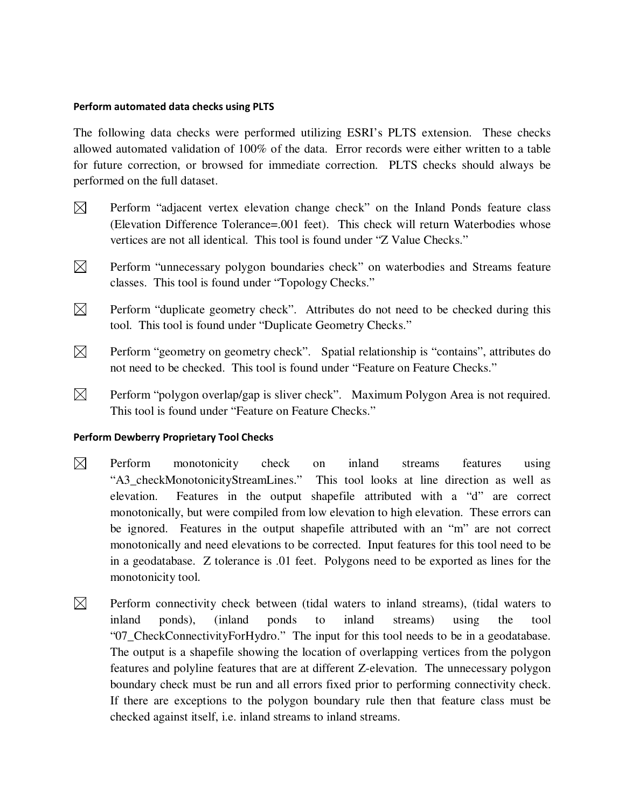#### **Perform automated data checks using PLTS**

The following data checks were performed utilizing ESRI's PLTS extension. These checks allowed automated validation of 100% of the data. Error records were either written to a table for future correction, or browsed for immediate correction. PLTS checks should always be performed on the full dataset.

- $\boxtimes$ Perform "adjacent vertex elevation change check" on the Inland Ponds feature class (Elevation Difference Tolerance=.001 feet). This check will return Waterbodies whose vertices are not all identical. This tool is found under "Z Value Checks."
- $\boxtimes$  Perform "unnecessary polygon boundaries check" on waterbodies and Streams feature classes. This tool is found under "Topology Checks."
- $\boxtimes$  Perform "duplicate geometry check". Attributes do not need to be checked during this tool. This tool is found under "Duplicate Geometry Checks."
- $\boxtimes$  Perform "geometry on geometry check". Spatial relationship is "contains", attributes do not need to be checked. This tool is found under "Feature on Feature Checks."
- $\boxtimes$  Perform "polygon overlap/gap is sliver check". Maximum Polygon Area is not required. This tool is found under "Feature on Feature Checks."

#### **Perform Dewberry Proprietary Tool Checks**

- $\boxtimes$ Perform monotonicity check on inland streams features using "A3\_checkMonotonicityStreamLines." This tool looks at line direction as well as elevation. Features in the output shapefile attributed with a "d" are correct monotonically, but were compiled from low elevation to high elevation. These errors can be ignored. Features in the output shapefile attributed with an "m" are not correct monotonically and need elevations to be corrected. Input features for this tool need to be in a geodatabase. Z tolerance is .01 feet. Polygons need to be exported as lines for the monotonicity tool.
- $\boxtimes$  Perform connectivity check between (tidal waters to inland streams), (tidal waters to inland ponds), (inland ponds to inland streams) using the tool "07\_CheckConnectivityForHydro." The input for this tool needs to be in a geodatabase. The output is a shapefile showing the location of overlapping vertices from the polygon features and polyline features that are at different Z-elevation. The unnecessary polygon boundary check must be run and all errors fixed prior to performing connectivity check. If there are exceptions to the polygon boundary rule then that feature class must be checked against itself, i.e. inland streams to inland streams.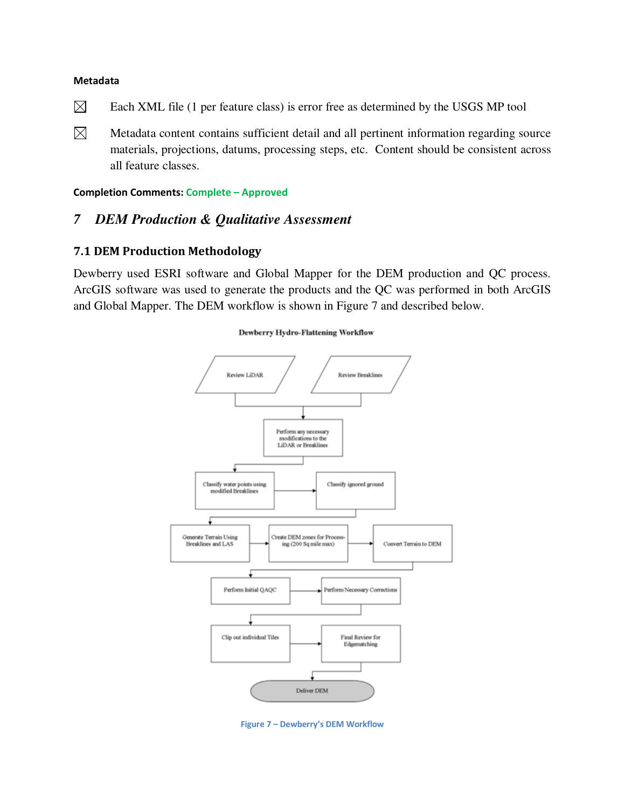#### **Metadata**

- $\boxtimes$ Each XML file (1 per feature class) is error free as determined by the USGS MP tool
- $\boxtimes$  Metadata content contains sufficient detail and all pertinent information regarding source materials, projections, datums, processing steps, etc. Content should be consistent across all feature classes.

#### **Completion Comments: Complete – Approved**

## *7 DEM Production & Qualitative Assessment*

#### **7.1 DEM Production Methodology**

Dewberry used ESRI software and Global Mapper for the DEM production and QC process. ArcGIS software was used to generate the products and the QC was performed in both ArcGIS and Global Mapper. The DEM workflow is shown in Figure 7 and described below.

# Review LiDAR **Review Breaklines** Perform any necessary modifications to the **LiDAR** or Breaklines Classify water points using Classify ignored ground modified Breaklines **Generate Terrain Using** Create DEM zones for Proces Breaklines and LAS ing (200 Sq mile max) Convert Terrain to DEM Perform Initial OAOC Perform Necessary Corrections Clip out individual Tiles Final Review for Edgematching Deliver DEM **Figure 7 – Dewberry's DEM Workflow**

#### **Dewberry Hydro-Flattening Workflow**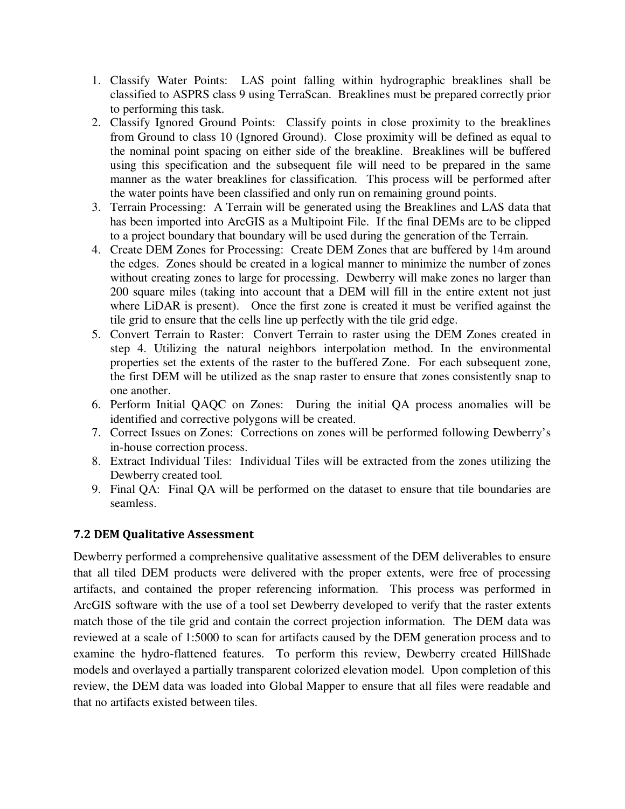- 1. Classify Water Points: LAS point falling within hydrographic breaklines shall be classified to ASPRS class 9 using TerraScan. Breaklines must be prepared correctly prior to performing this task.
- 2. Classify Ignored Ground Points: Classify points in close proximity to the breaklines from Ground to class 10 (Ignored Ground). Close proximity will be defined as equal to the nominal point spacing on either side of the breakline. Breaklines will be buffered using this specification and the subsequent file will need to be prepared in the same manner as the water breaklines for classification. This process will be performed after the water points have been classified and only run on remaining ground points.
- 3. Terrain Processing: A Terrain will be generated using the Breaklines and LAS data that has been imported into ArcGIS as a Multipoint File. If the final DEMs are to be clipped to a project boundary that boundary will be used during the generation of the Terrain.
- 4. Create DEM Zones for Processing: Create DEM Zones that are buffered by 14m around the edges. Zones should be created in a logical manner to minimize the number of zones without creating zones to large for processing. Dewberry will make zones no larger than 200 square miles (taking into account that a DEM will fill in the entire extent not just where LiDAR is present). Once the first zone is created it must be verified against the tile grid to ensure that the cells line up perfectly with the tile grid edge.
- 5. Convert Terrain to Raster: Convert Terrain to raster using the DEM Zones created in step 4. Utilizing the natural neighbors interpolation method. In the environmental properties set the extents of the raster to the buffered Zone. For each subsequent zone, the first DEM will be utilized as the snap raster to ensure that zones consistently snap to one another.
- 6. Perform Initial QAQC on Zones: During the initial QA process anomalies will be identified and corrective polygons will be created.
- 7. Correct Issues on Zones: Corrections on zones will be performed following Dewberry's in-house correction process.
- 8. Extract Individual Tiles: Individual Tiles will be extracted from the zones utilizing the Dewberry created tool.
- 9. Final QA: Final QA will be performed on the dataset to ensure that tile boundaries are seamless.

## **7.2 DEM Qualitative Assessment**

Dewberry performed a comprehensive qualitative assessment of the DEM deliverables to ensure that all tiled DEM products were delivered with the proper extents, were free of processing artifacts, and contained the proper referencing information. This process was performed in ArcGIS software with the use of a tool set Dewberry developed to verify that the raster extents match those of the tile grid and contain the correct projection information. The DEM data was reviewed at a scale of 1:5000 to scan for artifacts caused by the DEM generation process and to examine the hydro-flattened features. To perform this review, Dewberry created HillShade models and overlayed a partially transparent colorized elevation model. Upon completion of this review, the DEM data was loaded into Global Mapper to ensure that all files were readable and that no artifacts existed between tiles.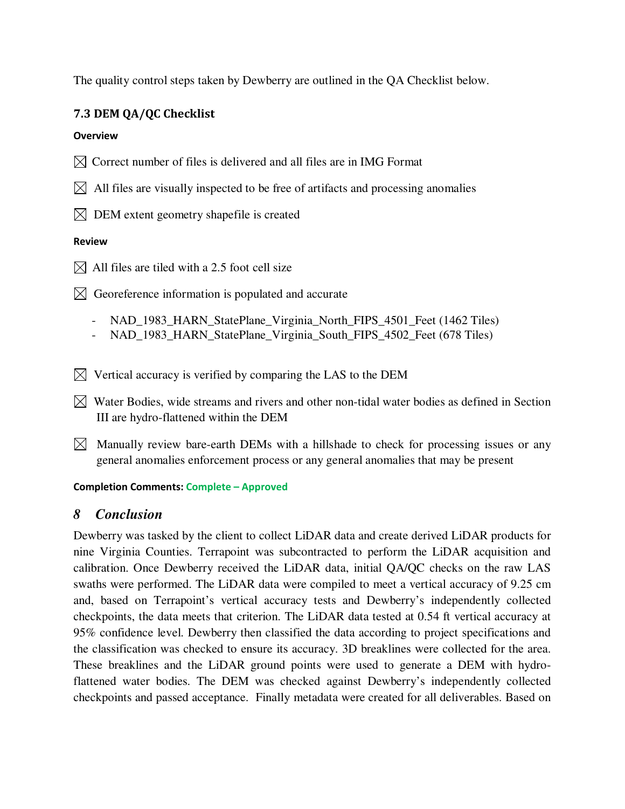The quality control steps taken by Dewberry are outlined in the QA Checklist below.

# **7.3 DEM QA/QC Checklist**

## **Overview**

- $\boxtimes$  Correct number of files is delivered and all files are in IMG Format
- $\boxtimes$  All files are visually inspected to be free of artifacts and processing anomalies
- $\boxtimes$  DEM extent geometry shapefile is created

## **Review**

 $\boxtimes$  All files are tiled with a 2.5 foot cell size

 $\boxtimes$  Georeference information is populated and accurate

- NAD\_1983\_HARN\_StatePlane\_Virginia\_North\_FIPS\_4501\_Feet (1462 Tiles)
- NAD\_1983\_HARN\_StatePlane\_Virginia\_South\_FIPS\_4502\_Feet (678 Tiles)
- $\boxtimes$  Vertical accuracy is verified by comparing the LAS to the DEM
- $\bowtie$  Water Bodies, wide streams and rivers and other non-tidal water bodies as defined in Section III are hydro-flattened within the DEM
- $\boxtimes$  Manually review bare-earth DEMs with a hillshade to check for processing issues or any general anomalies enforcement process or any general anomalies that may be present

## **Completion Comments: Complete – Approved**

# *8 Conclusion*

Dewberry was tasked by the client to collect LiDAR data and create derived LiDAR products for nine Virginia Counties. Terrapoint was subcontracted to perform the LiDAR acquisition and calibration. Once Dewberry received the LiDAR data, initial QA/QC checks on the raw LAS swaths were performed. The LiDAR data were compiled to meet a vertical accuracy of 9.25 cm and, based on Terrapoint's vertical accuracy tests and Dewberry's independently collected checkpoints, the data meets that criterion. The LiDAR data tested at 0.54 ft vertical accuracy at 95% confidence level. Dewberry then classified the data according to project specifications and the classification was checked to ensure its accuracy. 3D breaklines were collected for the area. These breaklines and the LiDAR ground points were used to generate a DEM with hydroflattened water bodies. The DEM was checked against Dewberry's independently collected checkpoints and passed acceptance. Finally metadata were created for all deliverables. Based on